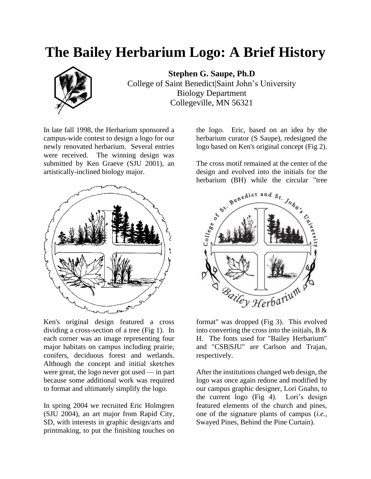## **The Bailey Herbarium Logo: A Brief History**



**Stephen G. Saupe, Ph.D** College of Saint Benedict|Saint John's University Biology Department Collegeville, MN 56321

In late fall 1998, the Herbarium sponsored a campus-wide contest to design a logo for our newly renovated herbarium. Several entries were received. The winning design was submitted by Ken Graeve (SJU 2001), an artistically-inclined biology major.



Ken's original design featured a cross dividing a cross-section of a tree (Fig 1). In each corner was an image representing four major habitats on campus including prairie, conifers, deciduous forest and wetlands. Although the concept and initial sketches were great, the logo never got used — in part because some additional work was required to format and ultimately simplify the logo.

In spring 2004 we recruited Eric Holmgren (SJU 2004), an art major from Rapid City, SD, with interests in graphic design/arts and printmaking, to put the finishing touches on

the logo. Eric, based on an idea by the herbarium curator (S Saupe), redesigned the logo based on Ken's original concept (Fig 2).

The cross motif remained at the center of the design and evolved into the initials for the herbarium (BH) while the circular "tree



format" was dropped (Fig 3). This evolved into converting the cross into the initials,  $B \&$ H. The fonts used for "Bailey Herbarium" and "CSB|SJU" are Carlson and Trajan, respectively.

After the institutions changed web design, the logo was once again redone and modified by our campus graphic designer, Lori Gnahn, to the current logo (Fig 4). Lori's design featured elements of the church and pines, one of the signature plants of campus (*i.e.,* Swayed Pines, Behind the Pine Curtain).